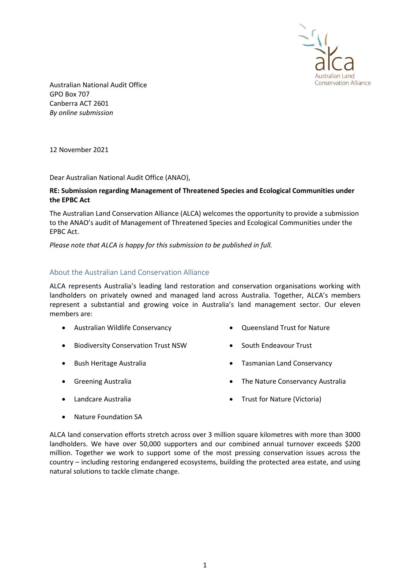

Australian National Audit Office GPO Box 707 Canberra ACT 2601 By online submission

12 November 2021

Dear Australian National Audit Office (ANAO),

### RE: Submission regarding Management of Threatened Species and Ecological Communities under the EPBC Act

The Australian Land Conservation Alliance (ALCA) welcomes the opportunity to provide a submission to the ANAO's audit of Management of Threatened Species and Ecological Communities under the EPBC Act.

Please note that ALCA is happy for this submission to be published in full.

## About the Australian Land Conservation Alliance

ALCA represents Australia's leading land restoration and conservation organisations working with landholders on privately owned and managed land across Australia. Together, ALCA's members represent a substantial and growing voice in Australia's land management sector. Our eleven members are:

- Australian Wildlife Conservancy
- **•** Biodiversity Conservation Trust NSW
- Bush Heritage Australia
- **•** Greening Australia

Tasmanian Land Conservancy

Queensland Trust for Nature

• South Endeavour Trust

• The Nature Conservancy Australia

Landcare Australia

• Trust for Nature (Victoria)

Nature Foundation SA

ALCA land conservation efforts stretch across over 3 million square kilometres with more than 3000 landholders. We have over 50,000 supporters and our combined annual turnover exceeds \$200 million. Together we work to support some of the most pressing conservation issues across the country – including restoring endangered ecosystems, building the protected area estate, and using natural solutions to tackle climate change.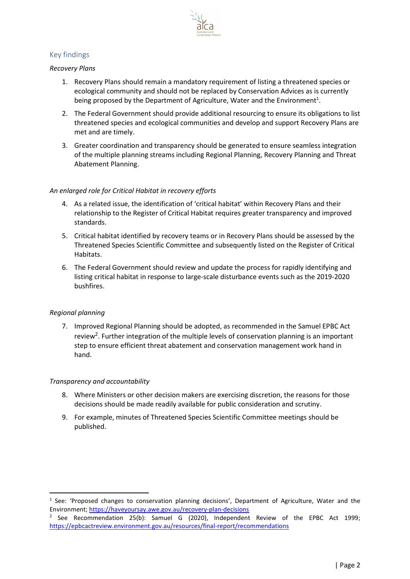

# Key findings

### Recovery Plans

- 1. Recovery Plans should remain a mandatory requirement of listing a threatened species or ecological community and should not be replaced by Conservation Advices as is currently being proposed by the Department of Agriculture, Water and the Environment<sup>1</sup>.
- 2. The Federal Government should provide additional resourcing to ensure its obligations to list threatened species and ecological communities and develop and support Recovery Plans are met and are timely.
- 3. Greater coordination and transparency should be generated to ensure seamless integration of the multiple planning streams including Regional Planning, Recovery Planning and Threat Abatement Planning.

### An enlarged role for Critical Habitat in recovery efforts

- 4. As a related issue, the identification of 'critical habitat' within Recovery Plans and their relationship to the Register of Critical Habitat requires greater transparency and improved standards.
- 5. Critical habitat identified by recovery teams or in Recovery Plans should be assessed by the Threatened Species Scientific Committee and subsequently listed on the Register of Critical Habitats.
- 6. The Federal Government should review and update the process for rapidly identifying and listing critical habitat in response to large-scale disturbance events such as the 2019-2020 bushfires.

## Regional planning

7. Improved Regional Planning should be adopted, as recommended in the Samuel EPBC Act review<sup>2</sup>. Further integration of the multiple levels of conservation planning is an important step to ensure efficient threat abatement and conservation management work hand in hand.

#### Transparency and accountability

- 8. Where Ministers or other decision makers are exercising discretion, the reasons for those decisions should be made readily available for public consideration and scrutiny.
- 9. For example, minutes of Threatened Species Scientific Committee meetings should be published.

<sup>&</sup>lt;sup>1</sup> See: 'Proposed changes to conservation planning decisions', Department of Agriculture, Water and the Environment; https://haveyoursay.awe.gov.au/recovery-plan-decisions

<sup>&</sup>lt;sup>2</sup> See Recommendation 25(b): Samuel G (2020), Independent Review of the EPBC Act 1999; https://epbcactreview.environment.gov.au/resources/final-report/recommendations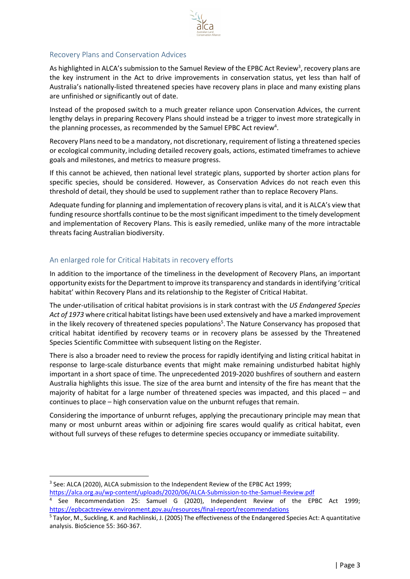

## Recovery Plans and Conservation Advices

As highlighted in ALCA's submission to the Samuel Review of the EPBC Act Review<sup>3</sup>, recovery plans are the key instrument in the Act to drive improvements in conservation status, yet less than half of Australia's nationally-listed threatened species have recovery plans in place and many existing plans are unfinished or significantly out of date.

Instead of the proposed switch to a much greater reliance upon Conservation Advices, the current lengthy delays in preparing Recovery Plans should instead be a trigger to invest more strategically in the planning processes, as recommended by the Samuel EPBC Act review<sup>4</sup>.

Recovery Plans need to be a mandatory, not discretionary, requirement of listing a threatened species or ecological community, including detailed recovery goals, actions, estimated timeframes to achieve goals and milestones, and metrics to measure progress.

If this cannot be achieved, then national level strategic plans, supported by shorter action plans for specific species, should be considered. However, as Conservation Advices do not reach even this threshold of detail, they should be used to supplement rather than to replace Recovery Plans.

Adequate funding for planning and implementation of recovery plans is vital, and it is ALCA's view that funding resource shortfalls continue to be the most significant impediment to the timely development and implementation of Recovery Plans. This is easily remedied, unlike many of the more intractable threats facing Australian biodiversity.

## An enlarged role for Critical Habitats in recovery efforts

In addition to the importance of the timeliness in the development of Recovery Plans, an important opportunity exists for the Department to improve its transparency and standards in identifying 'critical habitat' within Recovery Plans and its relationship to the Register of Critical Habitat.

The under-utilisation of critical habitat provisions is in stark contrast with the US Endangered Species Act of 1973 where critical habitat listings have been used extensively and have a marked improvement in the likely recovery of threatened species populations<sup>5</sup>. The Nature Conservancy has proposed that critical habitat identified by recovery teams or in recovery plans be assessed by the Threatened Species Scientific Committee with subsequent listing on the Register.

There is also a broader need to review the process for rapidly identifying and listing critical habitat in response to large-scale disturbance events that might make remaining undisturbed habitat highly important in a short space of time. The unprecedented 2019-2020 bushfires of southern and eastern Australia highlights this issue. The size of the area burnt and intensity of the fire has meant that the majority of habitat for a large number of threatened species was impacted, and this placed – and continues to place – high conservation value on the unburnt refuges that remain.

Considering the importance of unburnt refuges, applying the precautionary principle may mean that many or most unburnt areas within or adjoining fire scares would qualify as critical habitat, even without full surveys of these refuges to determine species occupancy or immediate suitability.

<sup>&</sup>lt;sup>3</sup> See: ALCA (2020), ALCA submission to the Independent Review of the EPBC Act 1999;

https://alca.org.au/wp-content/uploads/2020/06/ALCA-Submission-to-the-Samuel-Review.pdf

<sup>4</sup> See Recommendation 25: Samuel G (2020), Independent Review of the EPBC Act 1999; https://epbcactreview.environment.gov.au/resources/final-report/recommendations

<sup>&</sup>lt;sup>5</sup> Taylor, M., Suckling, K. and Rachlinski, J. (2005) The effectiveness of the Endangered Species Act: A quantitative analysis. BioScience 55: 360-367.